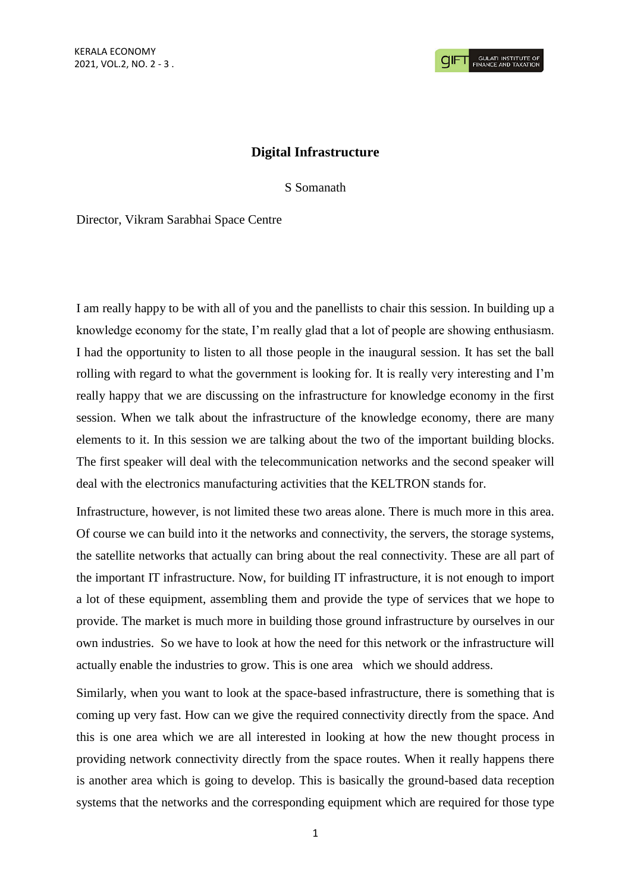## **Digital Infrastructure**

S Somanath

Director, Vikram Sarabhai Space Centre

I am really happy to be with all of you and the panellists to chair this session. In building up a knowledge economy for the state, I'm really glad that a lot of people are showing enthusiasm. I had the opportunity to listen to all those people in the inaugural session. It has set the ball rolling with regard to what the government is looking for. It is really very interesting and I'm really happy that we are discussing on the infrastructure for knowledge economy in the first session. When we talk about the infrastructure of the knowledge economy, there are many elements to it. In this session we are talking about the two of the important building blocks. The first speaker will deal with the telecommunication networks and the second speaker will deal with the electronics manufacturing activities that the KELTRON stands for.

Infrastructure, however, is not limited these two areas alone. There is much more in this area. Of course we can build into it the networks and connectivity, the servers, the storage systems, the satellite networks that actually can bring about the real connectivity. These are all part of the important IT infrastructure. Now, for building IT infrastructure, it is not enough to import a lot of these equipment, assembling them and provide the type of services that we hope to provide. The market is much more in building those ground infrastructure by ourselves in our own industries. So we have to look at how the need for this network or the infrastructure will actually enable the industries to grow. This is one area which we should address.

Similarly, when you want to look at the space-based infrastructure, there is something that is coming up very fast. How can we give the required connectivity directly from the space. And this is one area which we are all interested in looking at how the new thought process in providing network connectivity directly from the space routes. When it really happens there is another area which is going to develop. This is basically the ground-based data reception systems that the networks and the corresponding equipment which are required for those type